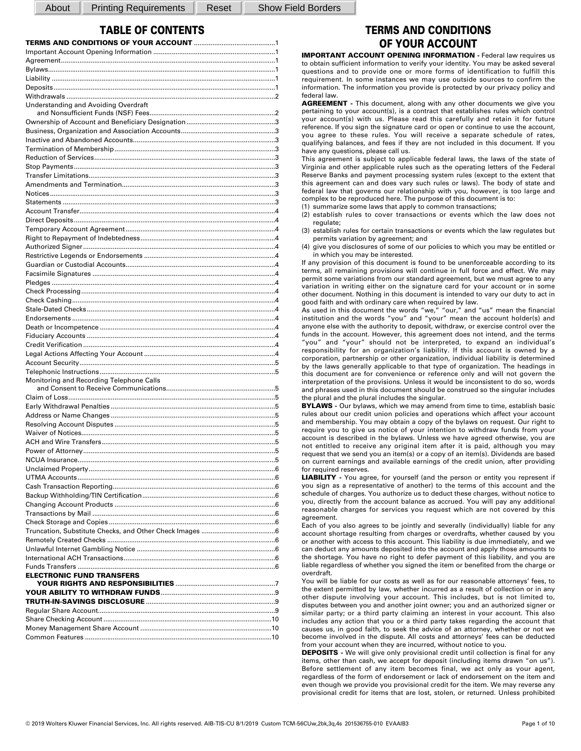About | Printing Requirements | Reset | Show Field Borders

# **TABLE OF CONTENTS**

| <b>Understanding and Avoiding Overdraft</b> |  |
|---------------------------------------------|--|
|                                             |  |
|                                             |  |
|                                             |  |
|                                             |  |
|                                             |  |
|                                             |  |
|                                             |  |
|                                             |  |
|                                             |  |
|                                             |  |
|                                             |  |
|                                             |  |
|                                             |  |
|                                             |  |
|                                             |  |
|                                             |  |
|                                             |  |
|                                             |  |
|                                             |  |
|                                             |  |
|                                             |  |
|                                             |  |
|                                             |  |
|                                             |  |
|                                             |  |
|                                             |  |
|                                             |  |
|                                             |  |
| Monitoring and Recording Telephone Calls    |  |
|                                             |  |
|                                             |  |
|                                             |  |
|                                             |  |
|                                             |  |
|                                             |  |
|                                             |  |
|                                             |  |
|                                             |  |
|                                             |  |
|                                             |  |
|                                             |  |
|                                             |  |
|                                             |  |
|                                             |  |
|                                             |  |
|                                             |  |
|                                             |  |
|                                             |  |
| <b>ELECTRONIC FUND TRANSFERS</b>            |  |
|                                             |  |
|                                             |  |
|                                             |  |
|                                             |  |
|                                             |  |
|                                             |  |
|                                             |  |

# **TERMS AND CONDITIONS OF YOUR ACCOUNT**

**IMPORTANT ACCOUNT OPENING INFORMATION - Federal law requires us** to obtain sufficient information to verify your identity. You may be asked several questions and to provide one or more forms of identification to fulfill this requirement. In some instances we may use outside sources to confirm the information. The information you provide is protected by our privacy policy and federal law.

**AGREEMENT -** This document, along with any other documents we give you pertaining to your account(s), is a contract that establishes rules which control your account(s) with us. Please read this carefully and retain it for future reference. If you sign the signature card or open or continue to use the account, you agree to these rules. You will receive a separate schedule of rates, qualifying balances, and fees if they are not included in this document. If you have any questions, please call us.

This agreement is subject to applicable federal laws, the laws of the state of Virginia and other applicable rules such as the operating letters of the Federal Reserve Banks and payment processing system rules (except to the extent that this agreement can and does vary such rules or laws). The body of state and federal law that governs our relationship with you, however, is too large and complex to be reproduced here. The purpose of this document is to:

- (1) summarize some laws that apply to common transactions;
- (2) establish rules to cover transactions or events which the law does not regulate;
- (3) establish rules for certain transactions or events which the law regulates but permits variation by agreement; and
- (4) give you disclosures of some of our policies to which you may be entitled or in which you may be interested.

If any provision of this document is found to be unenforceable according to its terms, all remaining provisions will continue in full force and effect. We may permit some variations from our standard agreement, but we must agree to any variation in writing either on the signature card for your account or in some other document. Nothing in this document is intended to vary our duty to act in good faith and with ordinary care when required by law.

As used in this document the words "we," "our," and "us" mean the financial institution and the words "you" and "your" mean the account holder(s) and anyone else with the authority to deposit, withdraw, or exercise control over the funds in the account. However, this agreement does not intend, and the terms "you" and "your" should not be interpreted, to expand an individual's responsibility for an organization's liability. If this account is owned by a corporation, partnership or other organization, individual liability is determined by the laws generally applicable to that type of organization. The headings in this document are for convenience or reference only and will not govern the interpretation of the provisions. Unless it would be inconsistent to do so, words and phrases used in this document should be construed so the singular includes the plural and the plural includes the singular.

**BYLAWS** - Our bylaws, which we may amend from time to time, establish basic rules about our credit union policies and operations which affect your account and membership. You may obtain a copy of the bylaws on request. Our right to require you to give us notice of your intention to withdraw funds from your account is described in the bylaws. Unless we have agreed otherwise, you are not entitled to receive any original item after it is paid, although you may request that we send you an item(s) or a copy of an item(s). Dividends are based on current earnings and available earnings of the credit union, after providing for required reserves.

**LIABILITY -** You agree, for yourself (and the person or entity you represent if you sign as a representative of another) to the terms of this account and the schedule of charges. You authorize us to deduct these charges, without notice to you, directly from the account balance as accrued. You will pay any additional reasonable charges for services you request which are not covered by this agreement.

Each of you also agrees to be jointly and severally (individually) liable for any account shortage resulting from charges or overdrafts, whether caused by you or another with access to this account. This liability is due immediately, and we can deduct any amounts deposited into the account and apply those amounts to the shortage. You have no right to defer payment of this liability, and you are liable regardless of whether you signed the item or benefited from the charge or overdraft.

You will be liable for our costs as well as for our reasonable attorneys' fees, to the extent permitted by law, whether incurred as a result of collection or in any other dispute involving your account. This includes, but is not limited to, disputes between you and another joint owner; you and an authorized signer or similar party; or a third party claiming an interest in your account. This also includes any action that you or a third party takes regarding the account that causes us, in good faith, to seek the advice of an attorney, whether or not we become involved in the dispute. All costs and attorneys' fees can be deducted from your account when they are incurred, without notice to you.

**DEPOSITS -** We will give only provisional credit until collection is final for any items, other than cash, we accept for deposit (including items drawn "on us"). Before settlement of any item becomes final, we act only as your agent, regardless of the form of endorsement or lack of endorsement on the item and even though we provide you provisional credit for the item. We may reverse any provisional credit for items that are lost, stolen, or returned. Unless prohibited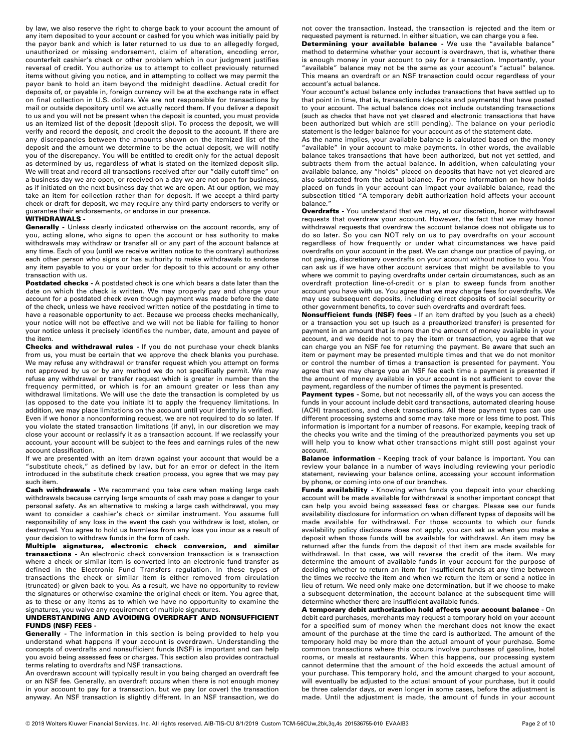by law, we also reserve the right to charge back to your account the amount of any item deposited to your account or cashed for you which was initially paid by the payor bank and which is later returned to us due to an allegedly forged, unauthorized or missing endorsement, claim of alteration, encoding error, counterfeit cashier's check or other problem which in our judgment justifies reversal of credit. You authorize us to attempt to collect previously returned items without giving you notice, and in attempting to collect we may permit the payor bank to hold an item beyond the midnight deadline. Actual credit for deposits of, or payable in, foreign currency will be at the exchange rate in effect on final collection in U.S. dollars. We are not responsible for transactions by mail or outside depository until we actually record them. If you deliver a deposit to us and you will not be present when the deposit is counted, you must provide us an itemized list of the deposit (deposit slip). To process the deposit, we will verify and record the deposit, and credit the deposit to the account. If there are any discrepancies between the amounts shown on the itemized list of the deposit and the amount we determine to be the actual deposit, we will notify you of the discrepancy. You will be entitled to credit only for the actual deposit as determined by us, regardless of what is stated on the itemized deposit slip. We will treat and record all transactions received after our "daily cutoff time" on a business day we are open, or received on a day we are not open for business, as if initiated on the next business day that we are open. At our option, we may take an item for collection rather than for deposit. If we accept a third-party check or draft for deposit, we may require any third-party endorsers to verify or guarantee their endorsements, or endorse in our presence.

#### **WITHDRAWALS -**

Generally - Unless clearly indicated otherwise on the account records, any of you, acting alone, who signs to open the account or has authority to make withdrawals may withdraw or transfer all or any part of the account balance at any time. Each of you (until we receive written notice to the contrary) authorizes each other person who signs or has authority to make withdrawals to endorse any item payable to you or your order for deposit to this account or any other transaction with us.

**Postdated checks -** A postdated check is one which bears a date later than the date on which the check is written. We may properly pay and charge your account for a postdated check even though payment was made before the date of the check, unless we have received written notice of the postdating in time to have a reasonable opportunity to act. Because we process checks mechanically, your notice will not be effective and we will not be liable for failing to honor your notice unless it precisely identifies the number, date, amount and payee of the item.

**Checks and withdrawal rules -** If you do not purchase your check blanks from us, you must be certain that we approve the check blanks you purchase. We may refuse any withdrawal or transfer request which you attempt on forms not approved by us or by any method we do not specifically permit. We may refuse any withdrawal or transfer request which is greater in number than the frequency permitted, or which is for an amount greater or less than any withdrawal limitations. We will use the date the transaction is completed by us (as opposed to the date you initiate it) to apply the frequency limitations. In addition, we may place limitations on the account until your identity is verified.

Even if we honor a nonconforming request, we are not required to do so later. If you violate the stated transaction limitations (if any), in our discretion we may close your account or reclassify it as a transaction account. If we reclassify your account, your account will be subject to the fees and earnings rules of the new account classification.

If we are presented with an item drawn against your account that would be a "substitute check," as defined by law, but for an error or defect in the item introduced in the substitute check creation process, you agree that we may pay such item.

**Cash withdrawals -** We recommend you take care when making large cash withdrawals because carrying large amounts of cash may pose a danger to your personal safety. As an alternative to making a large cash withdrawal, you may want to consider a cashier's check or similar instrument. You assume full responsibility of any loss in the event the cash you withdraw is lost, stolen, or destroyed. You agree to hold us harmless from any loss you incur as a result of your decision to withdraw funds in the form of cash.

**Multiple signatures, electronic check conversion, and similar transactions -** An electronic check conversion transaction is a transaction where a check or similar item is converted into an electronic fund transfer as defined in the Electronic Fund Transfers regulation. In these types of transactions the check or similar item is either removed from circulation (truncated) or given back to you. As a result, we have no opportunity to review the signatures or otherwise examine the original check or item. You agree that, as to these or any items as to which we have no opportunity to examine the signatures, you waive any requirement of multiple signatures.

#### **UNDERSTANDING AND AVOIDING OVERDRAFT AND NONSUFFICIENT FUNDS (NSF) FEES -**

**Generally -** The information in this section is being provided to help you understand what happens if your account is overdrawn. Understanding the concepts of overdrafts and nonsufficient funds (NSF) is important and can help you avoid being assessed fees or charges. This section also provides contractual terms relating to overdrafts and NSF transactions.

An overdrawn account will typically result in you being charged an overdraft fee or an NSF fee. Generally, an overdraft occurs when there is not enough money in your account to pay for a transaction, but we pay (or cover) the transaction anyway. An NSF transaction is slightly different. In an NSF transaction, we do

not cover the transaction. Instead, the transaction is rejected and the item or requested payment is returned. In either situation, we can charge you a fee.

**Determining your available balance -** We use the "available balance" method to determine whether your account is overdrawn, that is, whether there is enough money in your account to pay for a transaction. Importantly, your "available" balance may not be the same as your account's "actual" balance. This means an overdraft or an NSF transaction could occur regardless of your account's actual balance.

Your account's actual balance only includes transactions that have settled up to that point in time, that is, transactions (deposits and payments) that have posted to your account. The actual balance does not include outstanding transactions (such as checks that have not yet cleared and electronic transactions that have been authorized but which are still pending). The balance on your periodic statement is the ledger balance for your account as of the statement date.

As the name implies, your available balance is calculated based on the money "available" in your account to make payments. In other words, the available balance takes transactions that have been authorized, but not yet settled, and subtracts them from the actual balance. In addition, when calculating your available balance, any "holds" placed on deposits that have not yet cleared are also subtracted from the actual balance. For more information on how holds placed on funds in your account can impact your available balance, read the subsection titled "A temporary debit authorization hold affects your account balance."

**Overdrafts -** You understand that we may, at our discretion, honor withdrawal requests that overdraw your account. However, the fact that we may honor withdrawal requests that overdraw the account balance does not obligate us to do so later. So you can NOT rely on us to pay overdrafts on your account regardless of how frequently or under what circumstances we have paid overdrafts on your account in the past. We can change our practice of paying, or not paying, discretionary overdrafts on your account without notice to you. You can ask us if we have other account services that might be available to you where we commit to paying overdrafts under certain circumstances, such as an overdraft protection line-of-credit or a plan to sweep funds from another account you have with us. You agree that we may charge fees for overdrafts. We may use subsequent deposits, including direct deposits of social security or other government benefits, to cover such overdrafts and overdraft fees.

**Nonsufficient funds (NSF) fees -** If an item drafted by you (such as a check) or a transaction you set up (such as a preauthorized transfer) is presented for payment in an amount that is more than the amount of money available in your account, and we decide not to pay the item or transaction, you agree that we can charge you an NSF fee for returning the payment. Be aware that such an item or payment may be presented multiple times and that we do not monitor or control the number of times a transaction is presented for payment. You agree that we may charge you an NSF fee each time a payment is presented if the amount of money available in your account is not sufficient to cover the payment, regardless of the number of times the payment is presented.

Payment types - Some, but not necessarily all, of the ways you can access the funds in your account include debit card transactions, automated clearing house (ACH) transactions, and check transactions. All these payment types can use different processing systems and some may take more or less time to post. This information is important for a number of reasons. For example, keeping track of the checks you write and the timing of the preauthorized payments you set up will help you to know what other transactions might still post against your account.

**Balance information -** Keeping track of your balance is important. You can review your balance in a number of ways including reviewing your periodic statement, reviewing your balance online, accessing your account information by phone, or coming into one of our branches.

**Funds availability -** Knowing when funds you deposit into your checking account will be made available for withdrawal is another important concept that can help you avoid being assessed fees or charges. Please see our funds availability disclosure for information on when different types of deposits will be made available for withdrawal. For those accounts to which our funds availability policy disclosure does not apply, you can ask us when you make a deposit when those funds will be available for withdrawal. An item may be returned after the funds from the deposit of that item are made available for withdrawal. In that case, we will reverse the credit of the item. We may determine the amount of available funds in your account for the purpose of deciding whether to return an item for insufficient funds at any time between the times we receive the item and when we return the item or send a notice in lieu of return. We need only make one determination, but if we choose to make a subsequent determination, the account balance at the subsequent time will determine whether there are insufficient available funds.

**A temporary debit authorization hold affects your account balance -** On debit card purchases, merchants may request a temporary hold on your account for a specified sum of money when the merchant does not know the exact amount of the purchase at the time the card is authorized. The amount of the temporary hold may be more than the actual amount of your purchase. Some common transactions where this occurs involve purchases of gasoline, hotel rooms, or meals at restaurants. When this happens, our processing system cannot determine that the amount of the hold exceeds the actual amount of your purchase. This temporary hold, and the amount charged to your account, will eventually be adjusted to the actual amount of your purchase, but it could be three calendar days, or even longer in some cases, before the adjustment is made. Until the adjustment is made, the amount of funds in your account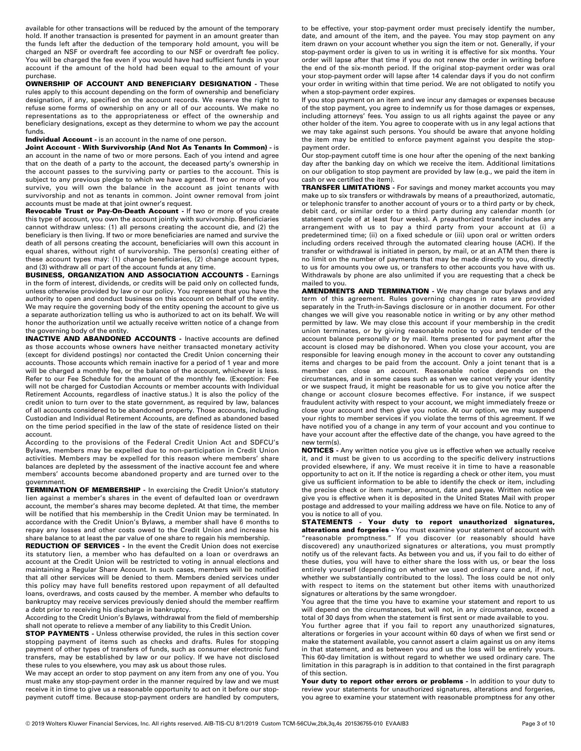available for other transactions will be reduced by the amount of the temporary hold. If another transaction is presented for payment in an amount greater than the funds left after the deduction of the temporary hold amount, you will be charged an NSF or overdraft fee according to our NSF or overdraft fee policy. You will be charged the fee even if you would have had sufficient funds in your account if the amount of the hold had been equal to the amount of your purchase.

## **OWNERSHIP OF ACCOUNT AND BENEFICIARY DESIGNATION -** These

rules apply to this account depending on the form of ownership and beneficiary designation, if any, specified on the account records. We reserve the right to refuse some forms of ownership on any or all of our accounts. We make no representations as to the appropriateness or effect of the ownership and beneficiary designations, except as they determine to whom we pay the account funds.

## **Individual Account -** is an account in the name of one person.

**Joint Account - With Survivorship (And Not As Tenants In Common) -** is an account in the name of two or more persons. Each of you intend and agree that on the death of a party to the account, the deceased party's ownership in the account passes to the surviving party or parties to the account. This is subject to any previous pledge to which we have agreed. If two or more of you survive, you will own the balance in the account as joint tenants with survivorship and not as tenants in common. Joint owner removal from joint accounts must be made at that joint owner's request.

**Revocable Trust or Pay-On-Death Account -** If two or more of you create this type of account, you own the account jointly with survivorship. Beneficiaries cannot withdraw unless: (1) all persons creating the account die, and (2) the beneficiary is then living. If two or more beneficiaries are named and survive the death of all persons creating the account, beneficiaries will own this account in equal shares, without right of survivorship. The person(s) creating either of these account types may: (1) change beneficiaries, (2) change account types, and (3) withdraw all or part of the account funds at any time.

**BUSINESS, ORGANIZATION AND ASSOCIATION ACCOUNTS -** Earnings in the form of interest, dividends, or credits will be paid only on collected funds, unless otherwise provided by law or our policy. You represent that you have the authority to open and conduct business on this account on behalf of the entity. We may require the governing body of the entity opening the account to give us a separate authorization telling us who is authorized to act on its behalf. We will honor the authorization until we actually receive written notice of a change from the governing body of the entity.

**INACTIVE AND ABANDONED ACCOUNTS -** Inactive accounts are defined as those accounts whose owners have neither transacted monetary activity (except for dividend postings) nor contacted the Credit Union concerning their accounts. Those accounts which remain inactive for a period of 1 year and more will be charged a monthly fee, or the balance of the account, whichever is less. Refer to our Fee Schedule for the amount of the monthly fee. (Exception: Fee will not be charged for Custodian Accounts or member accounts with Individual Retirement Accounts, regardless of inactive status.) It is also the policy of the credit union to turn over to the state government, as required by law, balances of all accounts considered to be abandoned property. Those accounts, including Custodian and Individual Retirement Accounts, are defined as abandoned based on the time period specified in the law of the state of residence listed on their account.

According to the provisions of the Federal Credit Union Act and SDFCU's Bylaws, members may be expelled due to non-participation in Credit Union activities. Members may be expelled for this reason where members' share balances are depleted by the assessment of the inactive account fee and where members' accounts become abandoned property and are turned over to the government.

**TERMINATION OF MEMBERSHIP -** In exercising the Credit Union's statutory lien against a member's shares in the event of defaulted loan or overdrawn account, the member's shares may become depleted. At that time, the member will be notified that his membership in the Credit Union may be terminated. In accordance with the Credit Union's Bylaws, a member shall have 6 months to repay any losses and other costs owed to the Credit Union and increase his share balance to at least the par value of one share to regain his membership.

**REDUCTION OF SERVICES -** In the event the Credit Union does not exercise its statutory lien, a member who has defaulted on a loan or overdraws an account at the Credit Union will be restricted to voting in annual elections and maintaining a Regular Share Account. In such cases, members will be notified that all other services will be denied to them. Members denied services under this policy may have full benefits restored upon repayment of all defaulted loans, overdraws, and costs caused by the member. A member who defaults to bankruptcy may receive services previously denied should the member reaffirm a debt prior to receiving his discharge in bankruptcy.

According to the Credit Union's Bylaws, withdrawal from the field of membership shall not operate to relieve a member of any liability to this Credit Union.

**STOP PAYMENTS -** Unless otherwise provided, the rules in this section cover stopping payment of items such as checks and drafts. Rules for stopping payment of other types of transfers of funds, such as consumer electronic fund transfers, may be established by law or our policy. If we have not disclosed these rules to you elsewhere, you may ask us about those rules.

We may accept an order to stop payment on any item from any one of you. You must make any stop-payment order in the manner required by law and we must receive it in time to give us a reasonable opportunity to act on it before our stoppayment cutoff time. Because stop-payment orders are handled by computers,

to be effective, your stop-payment order must precisely identify the number, date, and amount of the item, and the payee. You may stop payment on any item drawn on your account whether you sign the item or not. Generally, if your stop-payment order is given to us in writing it is effective for six months. Your order will lapse after that time if you do not renew the order in writing before the end of the six-month period. If the original stop-payment order was oral your stop-payment order will lapse after 14 calendar days if you do not confirm your order in writing within that time period. We are not obligated to notify you when a stop-payment order expires.

If you stop payment on an item and we incur any damages or expenses because of the stop payment, you agree to indemnify us for those damages or expenses, including attorneys' fees. You assign to us all rights against the payee or any other holder of the item. You agree to cooperate with us in any legal actions that we may take against such persons. You should be aware that anyone holding the item may be entitled to enforce payment against you despite the stoppayment order.

Our stop-payment cutoff time is one hour after the opening of the next banking day after the banking day on which we receive the item. Additional limitations on our obligation to stop payment are provided by law (e.g., we paid the item in cash or we certified the item).

**TRANSFER LIMITATIONS -** For savings and money market accounts you may make up to six transfers or withdrawals by means of a preauthorized, automatic, or telephonic transfer to another account of yours or to a third party or by check, debit card, or similar order to a third party during any calendar month (or statement cycle of at least four weeks). A preauthorized transfer includes any arrangement with us to pay a third party from your account at (i) a predetermined time; (ii) on a fixed schedule or (iii) upon oral or written orders including orders received through the automated clearing house (ACH). If the transfer or withdrawal is initiated in person, by mail, or at an ATM then there is no limit on the number of payments that may be made directly to you, directly to us for amounts you owe us, or transfers to other accounts you have with us. Withdrawals by phone are also unlimited if you are requesting that a check be mailed to you.

**AMENDMENTS AND TERMINATION -** We may change our bylaws and any term of this agreement. Rules governing changes in rates are provided separately in the Truth-in-Savings disclosure or in another document. For other changes we will give you reasonable notice in writing or by any other method permitted by law. We may close this account if your membership in the credit union terminates, or by giving reasonable notice to you and tender of the account balance personally or by mail. Items presented for payment after the account is closed may be dishonored. When you close your account, you are responsible for leaving enough money in the account to cover any outstanding items and charges to be paid from the account. Only a joint tenant that is a member can close an account. Reasonable notice depends on the circumstances, and in some cases such as when we cannot verify your identity or we suspect fraud, it might be reasonable for us to give you notice after the change or account closure becomes effective. For instance, if we suspect fraudulent activity with respect to your account, we might immediately freeze or close your account and then give you notice. At our option, we may suspend your rights to member services if you violate the terms of this agreement. If we have notified you of a change in any term of your account and you continue to have your account after the effective date of the change, you have agreed to the new term(s).

**NOTICES -** Any written notice you give us is effective when we actually receive it, and it must be given to us according to the specific delivery instructions provided elsewhere, if any. We must receive it in time to have a reasonable opportunity to act on it. If the notice is regarding a check or other item, you must give us sufficient information to be able to identify the check or item, including the precise check or item number, amount, date and payee. Written notice we give you is effective when it is deposited in the United States Mail with proper postage and addressed to your mailing address we have on file. Notice to any of you is notice to all of you.

**STATEMENTS - Your duty to report unauthorized signatures, alterations and forgeries -** You must examine your statement of account with "reasonable promptness." If you discover (or reasonably should have discovered) any unauthorized signatures or alterations, you must promptly notify us of the relevant facts. As between you and us, if you fail to do either of these duties, you will have to either share the loss with us, or bear the loss entirely yourself (depending on whether we used ordinary care and, if not, whether we substantially contributed to the loss). The loss could be not only with respect to items on the statement but other items with unauthorized signatures or alterations by the same wrongdoer.

You agree that the time you have to examine your statement and report to us will depend on the circumstances, but will not, in any circumstance, exceed a total of 30 days from when the statement is first sent or made available to you.

You further agree that if you fail to report any unauthorized signatures, alterations or forgeries in your account within 60 days of when we first send or make the statement available, you cannot assert a claim against us on any items in that statement, and as between you and us the loss will be entirely yours. This 60-day limitation is without regard to whether we used ordinary care. The limitation in this paragraph is in addition to that contained in the first paragraph of this section.

Your duty to report other errors or problems - In addition to your duty to review your statements for unauthorized signatures, alterations and forgeries, you agree to examine your statement with reasonable promptness for any other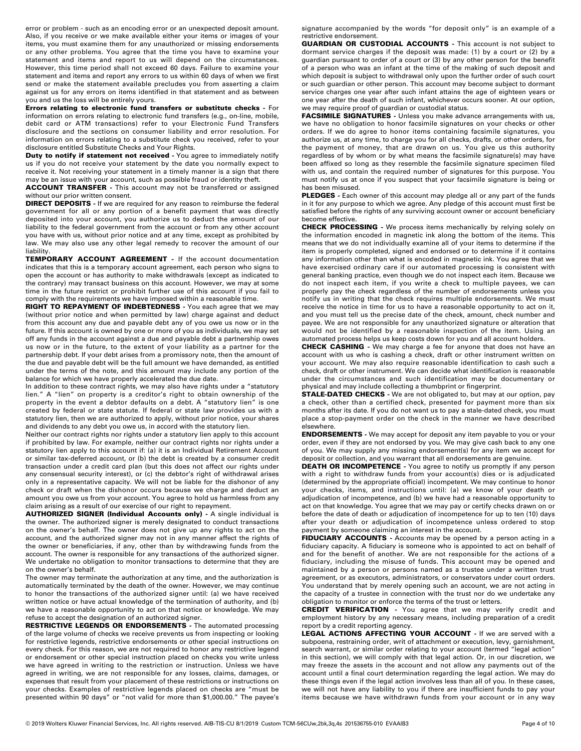error or problem - such as an encoding error or an unexpected deposit amount. Also, if you receive or we make available either your items or images of your items, you must examine them for any unauthorized or missing endorsements or any other problems. You agree that the time you have to examine your statement and items and report to us will depend on the circumstances. However, this time period shall not exceed 60 days. Failure to examine your statement and items and report any errors to us within 60 days of when we first send or make the statement available precludes you from asserting a claim against us for any errors on items identified in that statement and as between you and us the loss will be entirely yours.

**Errors relating to electronic fund transfers or substitute checks -** For information on errors relating to electronic fund transfers (e.g., on-line, mobile, debit card or ATM transactions) refer to your Electronic Fund Transfers disclosure and the sections on consumer liability and error resolution. For information on errors relating to a substitute check you received, refer to your disclosure entitled Substitute Checks and Your Rights.

**Duty to notify if statement not received - You agree to immediately notify** us if you do not receive your statement by the date you normally expect to receive it. Not receiving your statement in a timely manner is a sign that there may be an issue with your account, such as possible fraud or identity theft.

**ACCOUNT TRANSFER -** This account may not be transferred or assigned without our prior written consent.

**DIRECT DEPOSITS -** If we are required for any reason to reimburse the federal government for all or any portion of a benefit payment that was directly deposited into your account, you authorize us to deduct the amount of our liability to the federal government from the account or from any other account you have with us, without prior notice and at any time, except as prohibited by law. We may also use any other legal remedy to recover the amount of our liability.

**TEMPORARY ACCOUNT AGREEMENT -** If the account documentation indicates that this is a temporary account agreement, each person who signs to open the account or has authority to make withdrawals (except as indicated to the contrary) may transact business on this account. However, we may at some time in the future restrict or prohibit further use of this account if you fail to comply with the requirements we have imposed within a reasonable time.

**RIGHT TO REPAYMENT OF INDEBTEDNESS -** You each agree that we may (without prior notice and when permitted by law) charge against and deduct from this account any due and payable debt any of you owe us now or in the future. If this account is owned by one or more of you as individuals, we may set off any funds in the account against a due and payable debt a partnership owes us now or in the future, to the extent of your liability as a partner for the partnership debt. If your debt arises from a promissory note, then the amount of the due and payable debt will be the full amount we have demanded, as entitled under the terms of the note, and this amount may include any portion of the balance for which we have properly accelerated the due date.

In addition to these contract rights, we may also have rights under a "statutory lien." A "lien" on property is a creditor's right to obtain ownership of the property in the event a debtor defaults on a debt. A "statutory lien" is one created by federal or state statute. If federal or state law provides us with a statutory lien, then we are authorized to apply, without prior notice, your shares and dividends to any debt you owe us, in accord with the statutory lien.

Neither our contract rights nor rights under a statutory lien apply to this account if prohibited by law. For example, neither our contract rights nor rights under a statutory lien apply to this account if: (a) it is an Individual Retirement Account or similar tax-deferred account, or (b) the debt is created by a consumer credit transaction under a credit card plan (but this does not affect our rights under any consensual security interest), or (c) the debtor's right of withdrawal arises only in a representative capacity. We will not be liable for the dishonor of any check or draft when the dishonor occurs because we charge and deduct an amount you owe us from your account. You agree to hold us harmless from any claim arising as a result of our exercise of our right to repayment.

**AUTHORIZED SIGNER (Individual Accounts only) -** A single individual is the owner. The authorized signer is merely designated to conduct transactions on the owner's behalf. The owner does not give up any rights to act on the account, and the authorized signer may not in any manner affect the rights of the owner or beneficiaries, if any, other than by withdrawing funds from the account. The owner is responsible for any transactions of the authorized signer. We undertake no obligation to monitor transactions to determine that they are on the owner's behalf.

The owner may terminate the authorization at any time, and the authorization is automatically terminated by the death of the owner. However, we may continue to honor the transactions of the authorized signer until: (a) we have received written notice or have actual knowledge of the termination of authority, and (b) we have a reasonable opportunity to act on that notice or knowledge. We may refuse to accept the designation of an authorized signer.

**RESTRICTIVE LEGENDS OR ENDORSEMENTS -** The automated processing of the large volume of checks we receive prevents us from inspecting or looking for restrictive legends, restrictive endorsements or other special instructions on every check. For this reason, we are not required to honor any restrictive legend or endorsement or other special instruction placed on checks you write unless we have agreed in writing to the restriction or instruction. Unless we have agreed in writing, we are not responsible for any losses, claims, damages, or expenses that result from your placement of these restrictions or instructions on your checks. Examples of restrictive legends placed on checks are "must be presented within 90 days" or "not valid for more than \$1,000.00." The payee's signature accompanied by the words "for deposit only" is an example of a restrictive endorsement.

**GUARDIAN OR CUSTODIAL ACCOUNTS -** This account is not subject to dormant service charges if the deposit was made: (1) by a court or (2) by a guardian pursuant to order of a court or (3) by any other person for the benefit of a person who was an infant at the time of the making of such deposit and which deposit is subject to withdrawal only upon the further order of such court or such guardian or other person. This account may become subject to dormant service charges one year after such infant attains the age of eighteen years or one year after the death of such infant, whichever occurs sooner. At our option, we may require proof of guardian or custodial status.

**FACSIMILE SIGNATURES -** Unless you make advance arrangements with us, we have no obligation to honor facsimile signatures on your checks or other orders. If we do agree to honor items containing facsimile signatures, you authorize us, at any time, to charge you for all checks, drafts, or other orders, for the payment of money, that are drawn on us. You give us this authority regardless of by whom or by what means the facsimile signature(s) may have been affixed so long as they resemble the facsimile signature specimen filed with us, and contain the required number of signatures for this purpose. You must notify us at once if you suspect that your facsimile signature is being or has been misused.

**PLEDGES -** Each owner of this account may pledge all or any part of the funds in it for any purpose to which we agree. Any pledge of this account must first be satisfied before the rights of any surviving account owner or account beneficiary become effective.

**CHECK PROCESSING -** We process items mechanically by relying solely on the information encoded in magnetic ink along the bottom of the items. This means that we do not individually examine all of your items to determine if the item is properly completed, signed and endorsed or to determine if it contains any information other than what is encoded in magnetic ink. You agree that we have exercised ordinary care if our automated processing is consistent with general banking practice, even though we do not inspect each item. Because we do not inspect each item, if you write a check to multiple payees, we can properly pay the check regardless of the number of endorsements unless you notify us in writing that the check requires multiple endorsements. We must receive the notice in time for us to have a reasonable opportunity to act on it, and you must tell us the precise date of the check, amount, check number and payee. We are not responsible for any unauthorized signature or alteration that would not be identified by a reasonable inspection of the item. Using an automated process helps us keep costs down for you and all account holders.

**CHECK CASHING -** We may charge a fee for anyone that does not have an account with us who is cashing a check, draft or other instrument written on your account. We may also require reasonable identification to cash such a check, draft or other instrument. We can decide what identification is reasonable under the circumstances and such identification may be documentary or physical and may include collecting a thumbprint or fingerprint.

**STALE-DATED CHECKS -** We are not obligated to, but may at our option, pay a check, other than a certified check, presented for payment more than six months after its date. If you do not want us to pay a stale-dated check, you must place a stop-payment order on the check in the manner we have described elsewhere.

**ENDORSEMENTS -** We may accept for deposit any item payable to you or your order, even if they are not endorsed by you. We may give cash back to any one of you. We may supply any missing endorsement(s) for any item we accept for deposit or collection, and you warrant that all endorsements are genuine.

**DEATH OR INCOMPETENCE** - You agree to notify us promptly if any person with a right to withdraw funds from your account(s) dies or is adjudicated (determined by the appropriate official) incompetent. We may continue to honor your checks, items, and instructions until: (a) we know of your death or adjudication of incompetence, and (b) we have had a reasonable opportunity to act on that knowledge. You agree that we may pay or certify checks drawn on or before the date of death or adjudication of incompetence for up to ten (10) days after your death or adjudication of incompetence unless ordered to stop payment by someone claiming an interest in the account.

FIDUCIARY ACCOUNTS - Accounts may be opened by a person acting in a fiduciary capacity. A fiduciary is someone who is appointed to act on behalf of and for the benefit of another. We are not responsible for the actions of a fiduciary, including the misuse of funds. This account may be opened and maintained by a person or persons named as a trustee under a written trust agreement, or as executors, administrators, or conservators under court orders. You understand that by merely opening such an account, we are not acting in the capacity of a trustee in connection with the trust nor do we undertake any obligation to monitor or enforce the terms of the trust or letters.

**CREDIT VERIFICATION -** You agree that we may verify credit and employment history by any necessary means, including preparation of a credit report by a credit reporting agency.

**LEGAL ACTIONS AFFECTING YOUR ACCOUNT -** If we are served with a subpoena, restraining order, writ of attachment or execution, levy, garnishment, search warrant, or similar order relating to your account (termed "legal action" in this section), we will comply with that legal action. Or, in our discretion, we may freeze the assets in the account and not allow any payments out of the account until a final court determination regarding the legal action. We may do these things even if the legal action involves less than all of you. In these cases, we will not have any liability to you if there are insufficient funds to pay your items because we have withdrawn funds from your account or in any way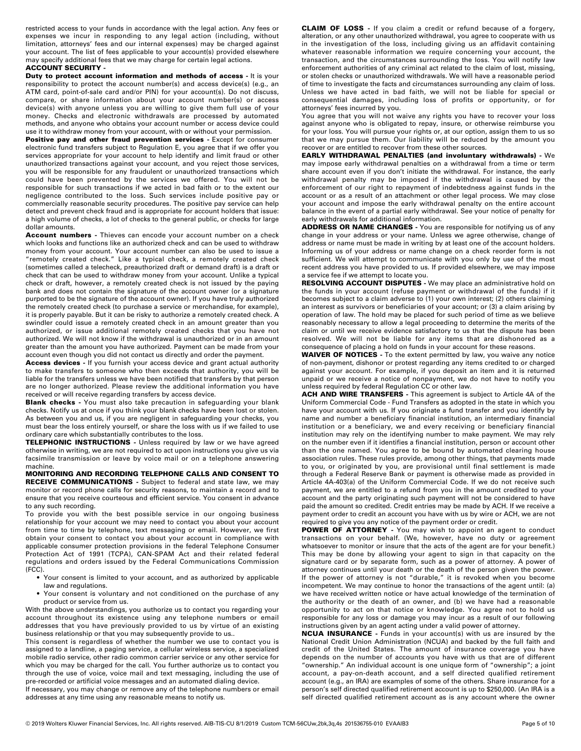restricted access to your funds in accordance with the legal action. Any fees or expenses we incur in responding to any legal action (including, without limitation, attorneys' fees and our internal expenses) may be charged against your account. The list of fees applicable to your account(s) provided elsewhere may specify additional fees that we may charge for certain legal actions. **ACCOUNT SECURITY -**

**Duty to protect account information and methods of access -** It is your responsibility to protect the account number(s) and access device(s) (e.g., an ATM card, point-of-sale card and/or PIN) for your account(s). Do not discuss, compare, or share information about your account number(s) or access device(s) with anyone unless you are willing to give them full use of your money. Checks and electronic withdrawals are processed by automated methods, and anyone who obtains your account number or access device could use it to withdraw money from your account, with or without your permission.

**Positive pay and other fraud prevention services -** Except for consumer electronic fund transfers subject to Regulation E, you agree that if we offer you services appropriate for your account to help identify and limit fraud or other unauthorized transactions against your account, and you reject those services, you will be responsible for any fraudulent or unauthorized transactions which could have been prevented by the services we offered. You will not be responsible for such transactions if we acted in bad faith or to the extent our negligence contributed to the loss. Such services include positive pay or commercially reasonable security procedures. The positive pay service can help detect and prevent check fraud and is appropriate for account holders that issue: a high volume of checks, a lot of checks to the general public, or checks for large dollar amounts.

**Account numbers -** Thieves can encode your account number on a check which looks and functions like an authorized check and can be used to withdraw money from your account. Your account number can also be used to issue a "remotely created check." Like a typical check, a remotely created check (sometimes called a telecheck, preauthorized draft or demand draft) is a draft or check that can be used to withdraw money from your account. Unlike a typical check or draft, however, a remotely created check is not issued by the paying bank and does not contain the signature of the account owner (or a signature purported to be the signature of the account owner). If you have truly authorized the remotely created check (to purchase a service or merchandise, for example), it is properly payable. But it can be risky to authorize a remotely created check. A swindler could issue a remotely created check in an amount greater than you authorized, or issue additional remotely created checks that you have not authorized. We will not know if the withdrawal is unauthorized or in an amount greater than the amount you have authorized. Payment can be made from your account even though you did not contact us directly and order the payment.

**Access devices -** If you furnish your access device and grant actual authority to make transfers to someone who then exceeds that authority, you will be liable for the transfers unless we have been notified that transfers by that person are no longer authorized. Please review the additional information you have received or will receive regarding transfers by access device.

**Blank checks -** You must also take precaution in safeguarding your blank checks. Notify us at once if you think your blank checks have been lost or stolen. As between you and us, if you are negligent in safeguarding your checks, you must bear the loss entirely yourself, or share the loss with us if we failed to use ordinary care which substantially contributes to the loss.

**TELEPHONIC INSTRUCTIONS -** Unless required by law or we have agreed otherwise in writing, we are not required to act upon instructions you give us via facsimile transmission or leave by voice mail or on a telephone answering machine.

**MONITORING AND RECORDING TELEPHONE CALLS AND CONSENT TO RECEIVE COMMUNICATIONS -** Subject to federal and state law, we may monitor or record phone calls for security reasons, to maintain a record and to ensure that you receive courteous and efficient service. You consent in advance to any such recording.

To provide you with the best possible service in our ongoing business relationship for your account we may need to contact you about your account from time to time by telephone, text messaging or email. However, we first obtain your consent to contact you about your account in compliance with applicable consumer protection provisions in the federal Telephone Consumer Protection Act of 1991 (TCPA), CAN-SPAM Act and their related federal regulations and orders issued by the Federal Communications Commission (FCC).

- Your consent is limited to your account, and as authorized by applicable law and regulations.
- Your consent is voluntary and not conditioned on the purchase of any product or service from us.

With the above understandings, you authorize us to contact you regarding your account throughout its existence using any telephone numbers or email addresses that you have previously provided to us by virtue of an existing business relationship or that you may subsequently provide to us..

This consent is regardless of whether the number we use to contact you is assigned to a landline, a paging service, a cellular wireless service, a specialized mobile radio service, other radio common carrier service or any other service for which you may be charged for the call. You further authorize us to contact you through the use of voice, voice mail and text messaging, including the use of pre-recorded or artificial voice messages and an automated dialing device.

If necessary, you may change or remove any of the telephone numbers or email addresses at any time using any reasonable means to notify us.

**CLAIM OF LOSS -** If you claim a credit or refund because of a forgery, alteration, or any other unauthorized withdrawal, you agree to cooperate with us in the investigation of the loss, including giving us an affidavit containing whatever reasonable information we require concerning your account, the transaction, and the circumstances surrounding the loss. You will notify law enforcement authorities of any criminal act related to the claim of lost, missing, or stolen checks or unauthorized withdrawals. We will have a reasonable period of time to investigate the facts and circumstances surrounding any claim of loss. Unless we have acted in bad faith, we will not be liable for special or consequential damages, including loss of profits or opportunity, or for attorneys' fees incurred by you.

You agree that you will not waive any rights you have to recover your loss against anyone who is obligated to repay, insure, or otherwise reimburse you for your loss. You will pursue your rights or, at our option, assign them to us so that we may pursue them. Our liability will be reduced by the amount you recover or are entitled to recover from these other sources.

**EARLY WITHDRAWAL PENALTIES (and involuntary withdrawals) -** We may impose early withdrawal penalties on a withdrawal from a time or term share account even if you don't initiate the withdrawal. For instance, the early withdrawal penalty may be imposed if the withdrawal is caused by the enforcement of our right to repayment of indebtedness against funds in the account or as a result of an attachment or other legal process. We may close your account and impose the early withdrawal penalty on the entire account balance in the event of a partial early withdrawal. See your notice of penalty for early withdrawals for additional information.

**ADDRESS OR NAME CHANGES -** You are responsible for notifying us of any change in your address or your name. Unless we agree otherwise, change of address or name must be made in writing by at least one of the account holders. Informing us of your address or name change on a check reorder form is not sufficient. We will attempt to communicate with you only by use of the most recent address you have provided to us. If provided elsewhere, we may impose a service fee if we attempt to locate you.

**RESOLVING ACCOUNT DISPUTES -** We may place an administrative hold on the funds in your account (refuse payment or withdrawal of the funds) if it becomes subject to a claim adverse to (1) your own interest; (2) others claiming an interest as survivors or beneficiaries of your account; or (3) a claim arising by operation of law. The hold may be placed for such period of time as we believe reasonably necessary to allow a legal proceeding to determine the merits of the claim or until we receive evidence satisfactory to us that the dispute has been resolved. We will not be liable for any items that are dishonored as a consequence of placing a hold on funds in your account for these reasons.

**WAIVER OF NOTICES -** To the extent permitted by law, you waive any notice of non-payment, dishonor or protest regarding any items credited to or charged against your account. For example, if you deposit an item and it is returned unpaid or we receive a notice of nonpayment, we do not have to notify you unless required by federal Regulation CC or other law.

**ACH AND WIRE TRANSFERS -** This agreement is subject to Article 4A of the Uniform Commercial Code - Fund Transfers as adopted in the state in which you have your account with us. If you originate a fund transfer and you identify by name and number a beneficiary financial institution, an intermediary financial institution or a beneficiary, we and every receiving or beneficiary financial institution may rely on the identifying number to make payment. We may rely on the number even if it identifies a financial institution, person or account other than the one named. You agree to be bound by automated clearing house association rules. These rules provide, among other things, that payments made to you, or originated by you, are provisional until final settlement is made through a Federal Reserve Bank or payment is otherwise made as provided in Article 4A-403(a) of the Uniform Commercial Code. If we do not receive such payment, we are entitled to a refund from you in the amount credited to your account and the party originating such payment will not be considered to have paid the amount so credited. Credit entries may be made by ACH. If we receive a payment order to credit an account you have with us by wire or ACH, we are not required to give you any notice of the payment order or credit.

**POWER OF ATTORNEY -** You may wish to appoint an agent to conduct transactions on your behalf. (We, however, have no duty or agreement whatsoever to monitor or insure that the acts of the agent are for your benefit.) This may be done by allowing your agent to sign in that capacity on the signature card or by separate form, such as a power of attorney. A power of attorney continues until your death or the death of the person given the power. If the power of attorney is not "durable," it is revoked when you become incompetent. We may continue to honor the transactions of the agent until: (a) we have received written notice or have actual knowledge of the termination of the authority or the death of an owner, and (b) we have had a reasonable opportunity to act on that notice or knowledge. You agree not to hold us responsible for any loss or damage you may incur as a result of our following instructions given by an agent acting under a valid power of attorney.

**NCUA INSURANCE -** Funds in your account(s) with us are insured by the National Credit Union Administration (NCUA) and backed by the full faith and credit of the United States. The amount of insurance coverage you have depends on the number of accounts you have with us that are of different "ownership." An individual account is one unique form of "ownership"; a joint account, a pay-on-death account, and a self directed qualified retirement account (e.g., an IRA) are examples of some of the others. Share insurance for a person's self directed qualified retirement account is up to \$250,000. (An IRA is a self directed qualified retirement account as is any account where the owner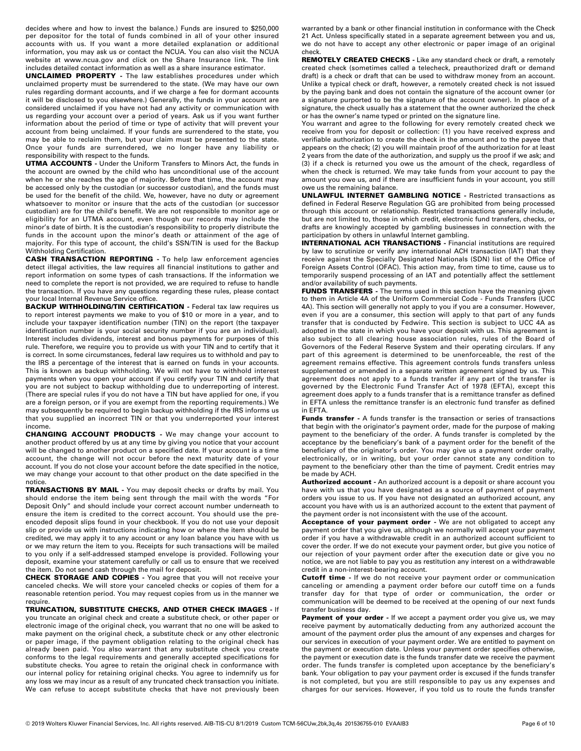decides where and how to invest the balance.) Funds are insured to \$250,000 per depositor for the total of funds combined in all of your other insured accounts with us. If you want a more detailed explanation or additional information, you may ask us or contact the NCUA. You can also visit the NCUA website at www.ncua.gov and click on the Share Insurance link. The link includes detailed contact information as well as a share insurance estimator.

**UNCLAIMED PROPERTY -** The law establishes procedures under which unclaimed property must be surrendered to the state. (We may have our own rules regarding dormant accounts, and if we charge a fee for dormant accounts it will be disclosed to you elsewhere.) Generally, the funds in your account are considered unclaimed if you have not had any activity or communication with us regarding your account over a period of years. Ask us if you want further information about the period of time or type of activity that will prevent your account from being unclaimed. If your funds are surrendered to the state, you may be able to reclaim them, but your claim must be presented to the state. Once your funds are surrendered, we no longer have any liability or responsibility with respect to the funds.

**UTMA ACCOUNTS -** Under the Uniform Transfers to Minors Act, the funds in the account are owned by the child who has unconditional use of the account when he or she reaches the age of majority. Before that time, the account may be accessed only by the custodian (or successor custodian), and the funds must be used for the benefit of the child. We, however, have no duty or agreement whatsoever to monitor or insure that the acts of the custodian (or successor custodian) are for the child's benefit. We are not responsible to monitor age or eligibility for an UTMA account, even though our records may include the minor's date of birth. It is the custodian's responsibility to properly distribute the funds in the account upon the minor's death or attainment of the age of majority. For this type of account, the child's SSN/TIN is used for the Backup Withholding Certification.

**CASH TRANSACTION REPORTING -** To help law enforcement agencies detect illegal activities, the law requires all financial institutions to gather and report information on some types of cash transactions. If the information we need to complete the report is not provided, we are required to refuse to handle the transaction. If you have any questions regarding these rules, please contact your local Internal Revenue Service office.

**BACKUP WITHHOLDING/TIN CERTIFICATION - Federal tax law requires us** to report interest payments we make to you of \$10 or more in a year, and to include your taxpayer identification number (TIN) on the report (the taxpayer identification number is your social security number if you are an individual). Interest includes dividends, interest and bonus payments for purposes of this rule. Therefore, we require you to provide us with your TIN and to certify that it is correct. In some circumstances, federal law requires us to withhold and pay to the IRS a percentage of the interest that is earned on funds in your accounts. This is known as backup withholding. We will not have to withhold interest payments when you open your account if you certify your TIN and certify that you are not subject to backup withholding due to underreporting of interest. (There are special rules if you do not have a TIN but have applied for one, if you are a foreign person, or if you are exempt from the reporting requirements.) We may subsequently be required to begin backup withholding if the IRS informs us that you supplied an incorrect TIN or that you underreported your interest income.

**CHANGING ACCOUNT PRODUCTS -** We may change your account to another product offered by us at any time by giving you notice that your account will be changed to another product on a specified date. If your account is a time account, the change will not occur before the next maturity date of your account. If you do not close your account before the date specified in the notice, we may change your account to that other product on the date specified in the notice.

**TRANSACTIONS BY MAIL -** You may deposit checks or drafts by mail. You should endorse the item being sent through the mail with the words "For Deposit Only" and should include your correct account number underneath to ensure the item is credited to the correct account. You should use the preencoded deposit slips found in your checkbook. If you do not use your deposit slip or provide us with instructions indicating how or where the item should be credited, we may apply it to any account or any loan balance you have with us or we may return the item to you. Receipts for such transactions will be mailed to you only if a self-addressed stamped envelope is provided. Following your deposit, examine your statement carefully or call us to ensure that we received the item. Do not send cash through the mail for deposit.

**CHECK STORAGE AND COPIES -** You agree that you will not receive your canceled checks. We will store your canceled checks or copies of them for a reasonable retention period. You may request copies from us in the manner we require.

**TRUNCATION, SUBSTITUTE CHECKS, AND OTHER CHECK IMAGES -** If you truncate an original check and create a substitute check, or other paper or electronic image of the original check, you warrant that no one will be asked to make payment on the original check, a substitute check or any other electronic or paper image, if the payment obligation relating to the original check has already been paid. You also warrant that any substitute check you create conforms to the legal requirements and generally accepted specifications for substitute checks. You agree to retain the original check in conformance with our internal policy for retaining original checks. You agree to indemnify us for any loss we may incur as a result of any truncated check transaction you initiate. We can refuse to accept substitute checks that have not previously been

warranted by a bank or other financial institution in conformance with the Check 21 Act. Unless specifically stated in a separate agreement between you and us, we do not have to accept any other electronic or paper image of an original check.

**REMOTELY CREATED CHECKS -** Like any standard check or draft, a remotely created check (sometimes called a telecheck, preauthorized draft or demand draft) is a check or draft that can be used to withdraw money from an account. Unlike a typical check or draft, however, a remotely created check is not issued by the paying bank and does not contain the signature of the account owner (or a signature purported to be the signature of the account owner). In place of a signature, the check usually has a statement that the owner authorized the check or has the owner's name typed or printed on the signature line.

You warrant and agree to the following for every remotely created check we receive from you for deposit or collection: (1) you have received express and verifiable authorization to create the check in the amount and to the payee that appears on the check; (2) you will maintain proof of the authorization for at least 2 years from the date of the authorization, and supply us the proof if we ask; and (3) if a check is returned you owe us the amount of the check, regardless of when the check is returned. We may take funds from your account to pay the amount you owe us, and if there are insufficient funds in your account, you still owe us the remaining balance.

**UNLAWFUL INTERNET GAMBLING NOTICE -** Restricted transactions as defined in Federal Reserve Regulation GG are prohibited from being processed through this account or relationship. Restricted transactions generally include, but are not limited to, those in which credit, electronic fund transfers, checks, or drafts are knowingly accepted by gambling businesses in connection with the participation by others in unlawful Internet gambling.

**INTERNATIONAL ACH TRANSACTIONS -** Financial institutions are required by law to scrutinize or verify any international ACH transaction (IAT) that they receive against the Specially Designated Nationals (SDN) list of the Office of Foreign Assets Control (OFAC). This action may, from time to time, cause us to temporarily suspend processing of an IAT and potentially affect the settlement and/or availability of such payments.

**FUNDS TRANSFERS -** The terms used in this section have the meaning given to them in Article 4A of the Uniform Commercial Code - Funds Transfers (UCC 4A). This section will generally not apply to you if you are a consumer. However, even if you are a consumer, this section will apply to that part of any funds transfer that is conducted by Fedwire. This section is subject to UCC 4A as adopted in the state in which you have your deposit with us. This agreement is also subject to all clearing house association rules, rules of the Board of Governors of the Federal Reserve System and their operating circulars. If any part of this agreement is determined to be unenforceable, the rest of the agreement remains effective. This agreement controls funds transfers unless supplemented or amended in a separate written agreement signed by us. This agreement does not apply to a funds transfer if any part of the transfer is governed by the Electronic Fund Transfer Act of 1978 (EFTA), except this agreement does apply to a funds transfer that is a remittance transfer as defined in EFTA unless the remittance transfer is an electronic fund transfer as defined in EFTA.

**Funds transfer -** A funds transfer is the transaction or series of transactions that begin with the originator's payment order, made for the purpose of making payment to the beneficiary of the order. A funds transfer is completed by the acceptance by the beneficiary's bank of a payment order for the benefit of the beneficiary of the originator's order. You may give us a payment order orally, electronically, or in writing, but your order cannot state any condition to payment to the beneficiary other than the time of payment. Credit entries may be made by ACH.

**Authorized account -** An authorized account is a deposit or share account you have with us that you have designated as a source of payment of payment orders you issue to us. If you have not designated an authorized account, any account you have with us is an authorized account to the extent that payment of the payment order is not inconsistent with the use of the account.

**Acceptance of your payment order -** We are not obligated to accept any payment order that you give us, although we normally will accept your payment order if you have a withdrawable credit in an authorized account sufficient to cover the order. If we do not execute your payment order, but give you notice of our rejection of your payment order after the execution date or give you no notice, we are not liable to pay you as restitution any interest on a withdrawable credit in a non-interest-bearing account.

**Cutoff time -** If we do not receive your payment order or communication canceling or amending a payment order before our cutoff time on a funds transfer day for that type of order or communication, the order or communication will be deemed to be received at the opening of our next funds transfer business day.

Payment of your order - If we accept a payment order you give us, we may receive payment by automatically deducting from any authorized account the amount of the payment order plus the amount of any expenses and charges for our services in execution of your payment order. We are entitled to payment on the payment or execution date. Unless your payment order specifies otherwise, the payment or execution date is the funds transfer date we receive the payment order. The funds transfer is completed upon acceptance by the beneficiary's bank. Your obligation to pay your payment order is excused if the funds transfer is not completed, but you are still responsible to pay us any expenses and charges for our services. However, if you told us to route the funds transfer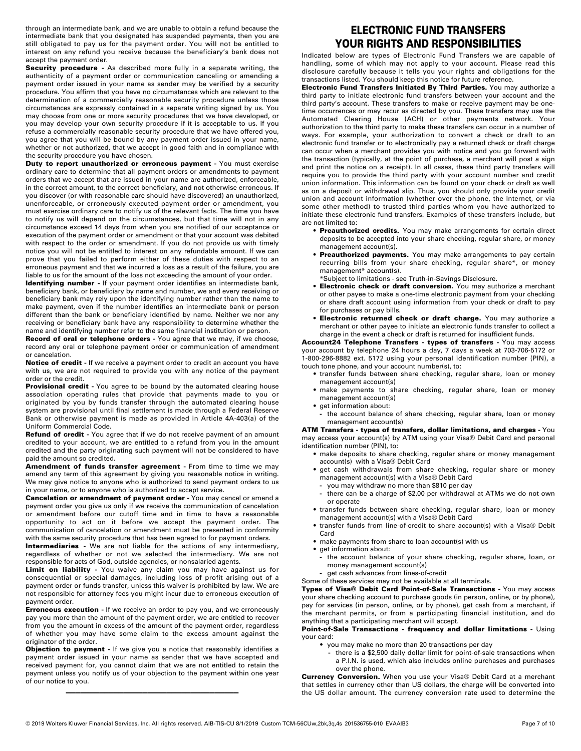through an intermediate bank, and we are unable to obtain a refund because the intermediate bank that you designated has suspended payments, then you are still obligated to pay us for the payment order. You will not be entitled to interest on any refund you receive because the beneficiary's bank does not accept the payment order.

**Security procedure** - As described more fully in a separate writing, the authenticity of a payment order or communication canceling or amending a payment order issued in your name as sender may be verified by a security procedure. You affirm that you have no circumstances which are relevant to the determination of a commercially reasonable security procedure unless those circumstances are expressly contained in a separate writing signed by us. You may choose from one or more security procedures that we have developed, or you may develop your own security procedure if it is acceptable to us. If you refuse a commercially reasonable security procedure that we have offered you, you agree that you will be bound by any payment order issued in your name, whether or not authorized, that we accept in good faith and in compliance with the security procedure you have chosen.

**Duty to report unauthorized or erroneous payment - You must exercise** ordinary care to determine that all payment orders or amendments to payment orders that we accept that are issued in your name are authorized, enforceable, in the correct amount, to the correct beneficiary, and not otherwise erroneous. If you discover (or with reasonable care should have discovered) an unauthorized, unenforceable, or erroneously executed payment order or amendment, you must exercise ordinary care to notify us of the relevant facts. The time you have to notify us will depend on the circumstances, but that time will not in any circumstance exceed 14 days from when you are notified of our acceptance or execution of the payment order or amendment or that your account was debited with respect to the order or amendment. If you do not provide us with timely notice you will not be entitled to interest on any refundable amount. If we can prove that you failed to perform either of these duties with respect to an erroneous payment and that we incurred a loss as a result of the failure, you are liable to us for the amount of the loss not exceeding the amount of your order.

**Identifying number -** If your payment order identifies an intermediate bank, beneficiary bank, or beneficiary by name and number, we and every receiving or beneficiary bank may rely upon the identifying number rather than the name to make payment, even if the number identifies an intermediate bank or person different than the bank or beneficiary identified by name. Neither we nor any receiving or beneficiary bank have any responsibility to determine whether the name and identifying number refer to the same financial institution or person.

**Record of oral or telephone orders -** You agree that we may, if we choose, record any oral or telephone payment order or communication of amendment or cancelation.

**Notice of credit -** If we receive a payment order to credit an account you have with us, we are not required to provide you with any notice of the payment order or the credit.

**Provisional credit -** You agree to be bound by the automated clearing house association operating rules that provide that payments made to you or originated by you by funds transfer through the automated clearing house system are provisional until final settlement is made through a Federal Reserve Bank or otherwise payment is made as provided in Article 4A-403(a) of the Uniform Commercial Code.

**Refund of credit -** You agree that if we do not receive payment of an amount credited to your account, we are entitled to a refund from you in the amount credited and the party originating such payment will not be considered to have paid the amount so credited.

**Amendment of funds transfer agreement -** From time to time we may amend any term of this agreement by giving you reasonable notice in writing. We may give notice to anyone who is authorized to send payment orders to us in your name, or to anyone who is authorized to accept service.

**Cancelation or amendment of payment order -** You may cancel or amend a payment order you give us only if we receive the communication of cancelation or amendment before our cutoff time and in time to have a reasonable opportunity to act on it before we accept the payment order. The communication of cancelation or amendment must be presented in conformity with the same security procedure that has been agreed to for payment orders.

**Intermediaries -** We are not liable for the actions of any intermediary, regardless of whether or not we selected the intermediary. We are not responsible for acts of God, outside agencies, or nonsalaried agents.

**Limit on liability -** You waive any claim you may have against us for consequential or special damages, including loss of profit arising out of a payment order or funds transfer, unless this waiver is prohibited by law. We are not responsible for attorney fees you might incur due to erroneous execution of payment order.

**Erroneous execution -** If we receive an order to pay you, and we erroneously pay you more than the amount of the payment order, we are entitled to recover from you the amount in excess of the amount of the payment order, regardless of whether you may have some claim to the excess amount against the originator of the order.

**Objection to payment -** If we give you a notice that reasonably identifies a payment order issued in your name as sender that we have accepted and received payment for, you cannot claim that we are not entitled to retain the payment unless you notify us of your objection to the payment within one year of our notice to you.

————————————————————————————————————

# **ELECTRONIC FUND TRANSFERS YOUR RIGHTS AND RESPONSIBILITIES**

Indicated below are types of Electronic Fund Transfers we are capable of handling, some of which may not apply to your account. Please read this disclosure carefully because it tells you your rights and obligations for the transactions listed. You should keep this notice for future reference.

**Electronic Fund Transfers Initiated By Third Parties.** You may authorize a third party to initiate electronic fund transfers between your account and the third party's account. These transfers to make or receive payment may be onetime occurrences or may recur as directed by you. These transfers may use the Automated Clearing House (ACH) or other payments network. Your authorization to the third party to make these transfers can occur in a number of ways. For example, your authorization to convert a check or draft to an electronic fund transfer or to electronically pay a returned check or draft charge can occur when a merchant provides you with notice and you go forward with the transaction (typically, at the point of purchase, a merchant will post a sign and print the notice on a receipt). In all cases, these third party transfers will require you to provide the third party with your account number and credit union information. This information can be found on your check or draft as well as on a deposit or withdrawal slip. Thus, you should only provide your credit union and account information (whether over the phone, the Internet, or via some other method) to trusted third parties whom you have authorized to initiate these electronic fund transfers. Examples of these transfers include, but are not limited to:

- **• Preauthorized credits.** You may make arrangements for certain direct deposits to be accepted into your share checking, regular share, or money management account(s).
- **• Preauthorized payments.** You may make arrangements to pay certain recurring bills from your share checking, regular share\*, or money management\* account(s).
- \*Subject to limitations see Truth-in-Savings Disclosure.
- **• Electronic check or draft conversion.** You may authorize a merchant or other payee to make a one-time electronic payment from your checking or share draft account using information from your check or draft to pay for purchases or pay bills.
- **• Electronic returned check or draft charge.** You may authorize a merchant or other payee to initiate an electronic funds transfer to collect a charge in the event a check or draft is returned for insufficient funds.

**Account24 Telephone Transfers - types of transfers -** You may access your account by telephone 24 hours a day, 7 days a week at 703-706-5172 or 1-800-296-8882 ext. 5172 using your personal identification number (PIN), a touch tone phone, and your account number(s), to:

- **•** transfer funds between share checking, regular share, loan or money management account(s)
- **•** make payments to share checking, regular share, loan or money management account(s)
- **•** get information about:
- **-** the account balance of share checking, regular share, loan or money management account(s)

**ATM Transfers - types of transfers, dollar limitations, and charges -** You may access your account(s) by ATM using your Visa® Debit Card and personal identification number (PIN), to:

- **•** make deposits to share checking, regular share or money management account(s) with a Visa® Debit Card
- **•** get cash withdrawals from share checking, regular share or money management account(s) with a Visa® Debit Card
	- **-** you may withdraw no more than \$810 per day
- **-** there can be a charge of \$2.00 per withdrawal at ATMs we do not own or operate
- **•** transfer funds between share checking, regular share, loan or money management account(s) with a Visa® Debit Card
- **•** transfer funds from line-of-credit to share account(s) with a Visa® Debit Card
- **•** make payments from share to loan account(s) with us
- **•** get information about:
- **-** the account balance of your share checking, regular share, loan, or money management account(s)
- **-** get cash advances from lines-of-credit

Some of these services may not be available at all terminals.

**Types of Visa® Debit Card Point-of-Sale Transactions -** You may access your share checking account to purchase goods (in person, online, or by phone), pay for services (in person, online, or by phone), get cash from a merchant, if the merchant permits, or from a participating financial institution, and do anything that a participating merchant will accept.

#### **Point-of-Sale Transactions - frequency and dollar limitations -** Using your card:

- **•** you may make no more than 20 transactions per day
- **-** there is a \$2,500 daily dollar limit for point-of-sale transactions when a P.I.N. is used, which also includes online purchases and purchases over the phone.

**Currency Conversion.** When you use your Visa® Debit Card at a merchant that settles in currency other than US dollars, the charge will be converted into the US dollar amount. The currency conversion rate used to determine the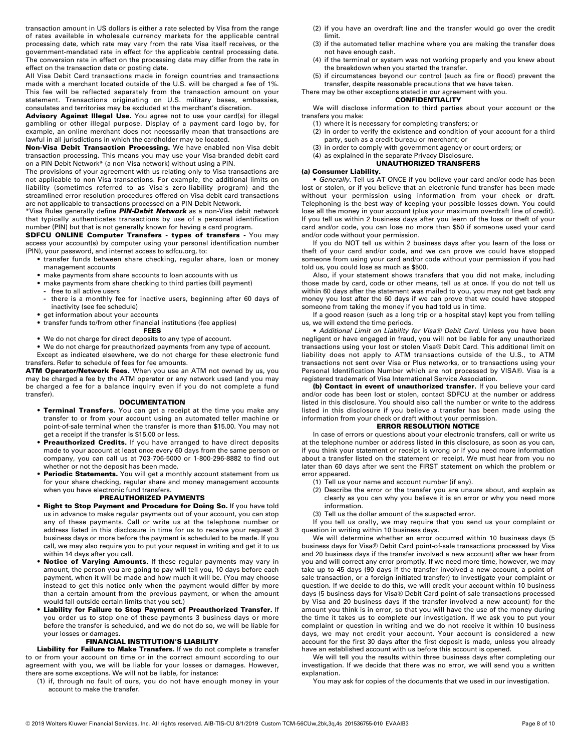transaction amount in US dollars is either a rate selected by Visa from the range of rates available in wholesale currency markets for the applicable central processing date, which rate may vary from the rate Visa itself receives, or the government-mandated rate in effect for the applicable central processing date. The conversion rate in effect on the processing date may differ from the rate in effect on the transaction date or posting date.

All Visa Debit Card transactions made in foreign countries and transactions made with a merchant located outside of the U.S. will be charged a fee of 1%. This fee will be reflected separately from the transaction amount on your statement. Transactions originating on U.S. military bases, embassies, consulates and territories may be excluded at the merchant's discretion.

**Advisory Against Illegal Use.** You agree not to use your card(s) for illegal gambling or other illegal purpose. Display of a payment card logo by, for example, an online merchant does not necessarily mean that transactions are lawful in all jurisdictions in which the cardholder may be located.

**Non-Visa Debit Transaction Processing.** We have enabled non-Visa debit transaction processing. This means you may use your Visa-branded debit card on a PIN-Debit Network\* (a non-Visa network) without using a PIN.

The provisions of your agreement with us relating only to Visa transactions are not applicable to non-Visa transactions. For example, the additional limits on liability (sometimes referred to as Visa's zero-liability program) and the streamlined error resolution procedures offered on Visa debit card transactions are not applicable to transactions processed on a PIN-Debit Network.

\*Visa Rules generally define *PIN-Debit Network* as a non-Visa debit network that typically authenticates transactions by use of a personal identification number (PIN) but that is not generally known for having a card program.

**SDFCU ONLINE Computer Transfers - types of transfers -** You may access your account(s) by computer using your personal identification number (PIN), your password, and internet access to sdfcu.org, to:

- **•** transfer funds between share checking, regular share, loan or money management accounts
- **•** make payments from share accounts to loan accounts with us
- **•** make payments from share checking to third parties (bill payment)
- **-** free to all active users
- **-** there is a monthly fee for inactive users, beginning after 60 days of inactivity (see fee schedule)
- **•** get information about your accounts
- **•** transfer funds to/from other financial institutions (fee applies)
	- **FEES**
- **•** We do not charge for direct deposits to any type of account.

**•** We do not charge for preauthorized payments from any type of account.

Except as indicated elsewhere, we do not charge for these electronic fund transfers. Refer to schedule of fees for fee amounts.

**ATM Operator/Network Fees.** When you use an ATM not owned by us, you may be charged a fee by the ATM operator or any network used (and you may be charged a fee for a balance inquiry even if you do not complete a fund transfer).

#### **DOCUMENTATION**

- **• Terminal Transfers.** You can get a receipt at the time you make any transfer to or from your account using an automated teller machine or point-of-sale terminal when the transfer is more than \$15.00. You may not get a receipt if the transfer is \$15.00 or less.
- **• Preauthorized Credits.** If you have arranged to have direct deposits made to your account at least once every 60 days from the same person or company, you can call us at 703-706-5000 or 1-800-296-8882 to find out whether or not the deposit has been made.
- **• Periodic Statements.** You will get a monthly account statement from us for your share checking, regular share and money management accounts when you have electronic fund transfers.

#### **PREAUTHORIZED PAYMENTS**

- **• Right to Stop Payment and Procedure for Doing So.** If you have told us in advance to make regular payments out of your account, you can stop any of these payments. Call or write us at the telephone number or address listed in this disclosure in time for us to receive your request 3 business days or more before the payment is scheduled to be made. If you call, we may also require you to put your request in writing and get it to us within 14 days after you call.
- **• Notice of Varying Amounts.** If these regular payments may vary in amount, the person you are going to pay will tell you, 10 days before each payment, when it will be made and how much it will be. (You may choose instead to get this notice only when the payment would differ by more than a certain amount from the previous payment, or when the amount would fall outside certain limits that you set.)
- **• Liability for Failure to Stop Payment of Preauthorized Transfer.** If you order us to stop one of these payments 3 business days or more before the transfer is scheduled, and we do not do so, we will be liable for your losses or damages.

#### **FINANCIAL INSTITUTION'S LIABILITY**

**Liability for Failure to Make Transfers.** If we do not complete a transfer to or from your account on time or in the correct amount according to our agreement with you, we will be liable for your losses or damages. However, there are some exceptions. We will not be liable, for instance:

(1) if, through no fault of ours, you do not have enough money in your account to make the transfer.

- (2) if you have an overdraft line and the transfer would go over the credit limit.
- (3) if the automated teller machine where you are making the transfer does not have enough cash.
- (4) if the terminal or system was not working properly and you knew about the breakdown when you started the transfer.
- (5) if circumstances beyond our control (such as fire or flood) prevent the transfer, despite reasonable precautions that we have taken.

## There may be other exceptions stated in our agreement with you.

## **CONFIDENTIALITY**

We will disclose information to third parties about your account or the transfers you make:

- (1) where it is necessary for completing transfers; or
- (2) in order to verify the existence and condition of your account for a third party, such as a credit bureau or merchant; or
- (3) in order to comply with government agency or court orders; or

#### (4) as explained in the separate Privacy Disclosure. **UNAUTHORIZED TRANSFERS**

## **(a) Consumer Liability.**

**•** Generally. Tell us AT ONCE if you believe your card and/or code has been lost or stolen, or if you believe that an electronic fund transfer has been made without your permission using information from your check or draft. Telephoning is the best way of keeping your possible losses down. You could lose all the money in your account (plus your maximum overdraft line of credit). If you tell us within 2 business days after you learn of the loss or theft of your card and/or code, you can lose no more than \$50 if someone used your card and/or code without your permission.

If you do NOT tell us within 2 business days after you learn of the loss or theft of your card and/or code, and we can prove we could have stopped someone from using your card and/or code without your permission if you had told us, you could lose as much as \$500.

Also, if your statement shows transfers that you did not make, including those made by card, code or other means, tell us at once. If you do not tell us within 60 days after the statement was mailed to you, you may not get back any money you lost after the 60 days if we can prove that we could have stopped someone from taking the money if you had told us in time.

If a good reason (such as a long trip or a hospital stay) kept you from telling us, we will extend the time periods.

**•** Additional Limit on Liability for Visa® Debit Card. Unless you have been negligent or have engaged in fraud, you will not be liable for any unauthorized transactions using your lost or stolen Visa® Debit Card. This additional limit on liability does not apply to ATM transactions outside of the U.S., to ATM transactions not sent over Visa or Plus networks, or to transactions using your Personal Identification Number which are not processed by VISA®. Visa is a registered trademark of Visa International Service Association.

**(b) Contact in event of unauthorized transfer.** If you believe your card and/or code has been lost or stolen, contact SDFCU at the number or address listed in this disclosure. You should also call the number or write to the address listed in this disclosure if you believe a transfer has been made using the information from your check or draft without your permission.

## **ERROR RESOLUTION NOTICE**

In case of errors or questions about your electronic transfers, call or write us at the telephone number or address listed in this disclosure, as soon as you can, if you think your statement or receipt is wrong or if you need more information about a transfer listed on the statement or receipt. We must hear from you no later than 60 days after we sent the FIRST statement on which the problem or error appeared.

- (1) Tell us your name and account number (if any).
- (2) Describe the error or the transfer you are unsure about, and explain as clearly as you can why you believe it is an error or why you need more information.
- (3) Tell us the dollar amount of the suspected error.

If you tell us orally, we may require that you send us your complaint or question in writing within 10 business days.

We will determine whether an error occurred within 10 business days (5 business days for Visa® Debit Card point-of-sale transactions processed by Visa and 20 business days if the transfer involved a new account) after we hear from you and will correct any error promptly. If we need more time, however, we may take up to 45 days (90 days if the transfer involved a new account, a point-ofsale transaction, or a foreign-initiated transfer) to investigate your complaint or question. If we decide to do this, we will credit your account within 10 business days (5 business days for Visa® Debit Card point-of-sale transactions processed by Visa and 20 business days if the transfer involved a new account) for the amount you think is in error, so that you will have the use of the money during the time it takes us to complete our investigation. If we ask you to put your complaint or question in writing and we do not receive it within 10 business days, we may not credit your account. Your account is considered a new account for the first 30 days after the first deposit is made, unless you already have an established account with us before this account is opened.

We will tell you the results within three business days after completing our investigation. If we decide that there was no error, we will send you a written explanation.

You may ask for copies of the documents that we used in our investigation.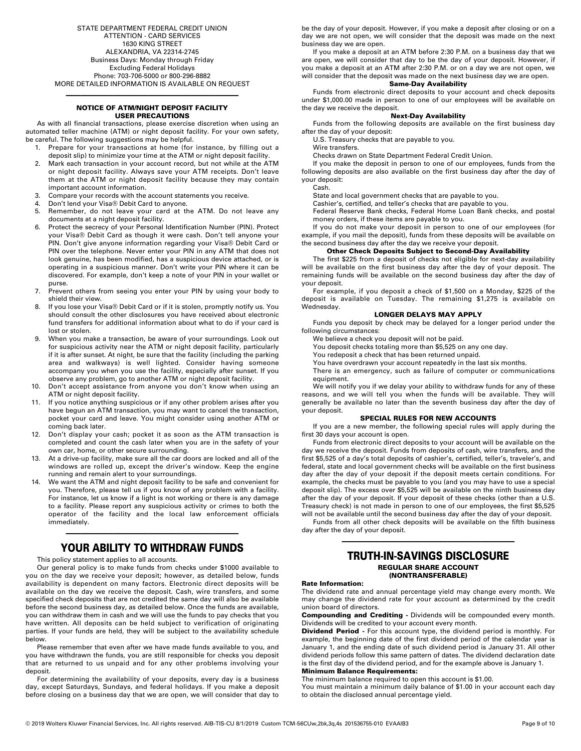STATE DEPARTMENT FEDERAL CREDIT UNION ATTENTION - CARD SERVICES 1630 KING STREET ALEXANDRIA, VA 22314-2745 Business Days: Monday through Friday Excluding Federal Holidays Phone: 703-706-5000 or 800-296-8882 MORE DETAILED INFORMATION IS AVAILABLE ON REQUEST

## ———————————————————————————————————— **NOTICE OF ATM/NIGHT DEPOSIT FACILITY USER PRECAUTIONS**

As with all financial transactions, please exercise discretion when using an automated teller machine (ATM) or night deposit facility. For your own safety, be careful. The following suggestions may be helpful.

- 1. Prepare for your transactions at home (for instance, by filling out a deposit slip) to minimize your time at the ATM or night deposit facility.
- 2. Mark each transaction in your account record, but not while at the ATM or night deposit facility. Always save your ATM receipts. Don't leave them at the ATM or night deposit facility because they may contain important account information.
- 3. Compare your records with the account statements you receive.
- 4. Don't lend your Visa® Debit Card to anyone.
- 5. Remember, do not leave your card at the ATM. Do not leave any documents at a night deposit facility.
- 6. Protect the secrecy of your Personal Identification Number (PIN). Protect your Visa® Debit Card as though it were cash. Don't tell anyone your PIN. Don't give anyone information regarding your Visa® Debit Card or PIN over the telephone. Never enter your PIN in any ATM that does not look genuine, has been modified, has a suspicious device attached, or is operating in a suspicious manner. Don't write your PIN where it can be discovered. For example, don't keep a note of your PIN in your wallet or purse.
- 7. Prevent others from seeing you enter your PIN by using your body to shield their view.
- 8. If you lose your Visa® Debit Card or if it is stolen, promptly notify us. You should consult the other disclosures you have received about electronic fund transfers for additional information about what to do if your card is lost or stolen.
- 9. When you make a transaction, be aware of your surroundings. Look out for suspicious activity near the ATM or night deposit facility, particularly if it is after sunset. At night, be sure that the facility (including the parking area and walkways) is well lighted. Consider having someone accompany you when you use the facility, especially after sunset. If you observe any problem, go to another ATM or night deposit facility.
- 10. Don't accept assistance from anyone you don't know when using an ATM or night deposit facility.
- 11. If you notice anything suspicious or if any other problem arises after you have begun an ATM transaction, you may want to cancel the transaction, pocket your card and leave. You might consider using another ATM or coming back later.
- 12. Don't display your cash; pocket it as soon as the ATM transaction is completed and count the cash later when you are in the safety of your own car, home, or other secure surrounding.
- 13. At a drive-up facility, make sure all the car doors are locked and all of the windows are rolled up, except the driver's window. Keep the engine running and remain alert to your surroundings.
- 14. We want the ATM and night deposit facility to be safe and convenient for you. Therefore, please tell us if you know of any problem with a facility. For instance, let us know if a light is not working or there is any damage to a facility. Please report any suspicious activity or crimes to both the operator of the facility and the local law enforcement officials immediately.

## ———————————————————————————————————— **YOUR ABILITY TO WITHDRAW FUNDS**

#### This policy statement applies to all accounts.

Our general policy is to make funds from checks under \$1000 available to you on the day we receive your deposit; however, as detailed below, funds availability is dependent on many factors. Electronic direct deposits will be available on the day we receive the deposit. Cash, wire transfers, and some specified check deposits that are not credited the same day will also be available before the second business day, as detailed below. Once the funds are available, you can withdraw them in cash and we will use the funds to pay checks that you have written. All deposits can be held subject to verification of originating parties. If your funds are held, they will be subject to the availability schedule below.

Please remember that even after we have made funds available to you, and you have withdrawn the funds, you are still responsible for checks you deposit that are returned to us unpaid and for any other problems involving your deposit.

For determining the availability of your deposits, every day is a business day, except Saturdays, Sundays, and federal holidays. If you make a deposit before closing on a business day that we are open, we will consider that day to

be the day of your deposit. However, if you make a deposit after closing or on a day we are not open, we will consider that the deposit was made on the next business day we are open.

If you make a deposit at an ATM before 2:30 P.M. on a business day that we are open, we will consider that day to be the day of your deposit. However, if you make a deposit at an ATM after 2:30 P.M. or on a day we are not open, we will consider that the deposit was made on the next business day we are open.

### **Same-Day Availability**

Funds from electronic direct deposits to your account and check deposits under \$1,000.00 made in person to one of our employees will be available on the day we receive the deposit.

## **Next-Day Availability**

Funds from the following deposits are available on the first business day after the day of your deposit:

U.S. Treasury checks that are payable to you.

Wire transfers.

Checks drawn on State Department Federal Credit Union.

If you make the deposit in person to one of our employees, funds from the following deposits are also available on the first business day after the day of your deposit:

Cash.

State and local government checks that are payable to you.

Cashier's, certified, and teller's checks that are payable to you.

Federal Reserve Bank checks, Federal Home Loan Bank checks, and postal money orders, if these items are payable to you.

If you do not make your deposit in person to one of our employees (for example, if you mail the deposit), funds from these deposits will be available on the second business day after the day we receive your deposit.

#### **Other Check Deposits Subject to Second-Day Availability**

The first \$225 from a deposit of checks not eligible for next-day availability will be available on the first business day after the day of your deposit. The remaining funds will be available on the second business day after the day of your deposit.

For example, if you deposit a check of \$1,500 on a Monday, \$225 of the deposit is available on Tuesday. The remaining \$1,275 is available on Wednesday.

#### **LONGER DELAYS MAY APPLY**

Funds you deposit by check may be delayed for a longer period under the following circumstances:

We believe a check you deposit will not be paid.

You deposit checks totaling more than \$5,525 on any one day.

You redeposit a check that has been returned unpaid.

You have overdrawn your account repeatedly in the last six months.

There is an emergency, such as failure of computer or communications equipment.

We will notify you if we delay your ability to withdraw funds for any of these reasons, and we will tell you when the funds will be available. They will generally be available no later than the seventh business day after the day of your deposit.

#### **SPECIAL RULES FOR NEW ACCOUNTS**

If you are a new member, the following special rules will apply during the first 30 days your account is open.

Funds from electronic direct deposits to your account will be available on the day we receive the deposit. Funds from deposits of cash, wire transfers, and the first \$5,525 of a day's total deposits of cashier's, certified, teller's, traveler's, and federal, state and local government checks will be available on the first business day after the day of your deposit if the deposit meets certain conditions. For example, the checks must be payable to you (and you may have to use a special deposit slip). The excess over \$5,525 will be available on the ninth business day after the day of your deposit. If your deposit of these checks (other than a U.S. Treasury check) is not made in person to one of our employees, the first \$5,525 will not be available until the second business day after the day of your deposit.

Funds from all other check deposits will be available on the fifth business day after the day of your deposit. ————————————————————————————————————

## **TRUTH-IN-SAVINGS DISCLOSURE REGULAR SHARE ACCOUNT (NONTRANSFERABLE)**

#### **Rate Information:**

The dividend rate and annual percentage yield may change every month. We may change the dividend rate for your account as determined by the credit union board of directors.

**Compounding and Crediting -** Dividends will be compounded every month. Dividends will be credited to your account every month.

**Dividend Period -** For this account type, the dividend period is monthly. For example, the beginning date of the first dividend period of the calendar year is January 1, and the ending date of such dividend period is January 31. All other dividend periods follow this same pattern of dates. The dividend declaration date is the first day of the dividend period, and for the example above is January 1.

## **Minimum Balance Requirements:**

The minimum balance required to open this account is \$1.00.

You must maintain a minimum daily balance of \$1.00 in your account each day to obtain the disclosed annual percentage yield.